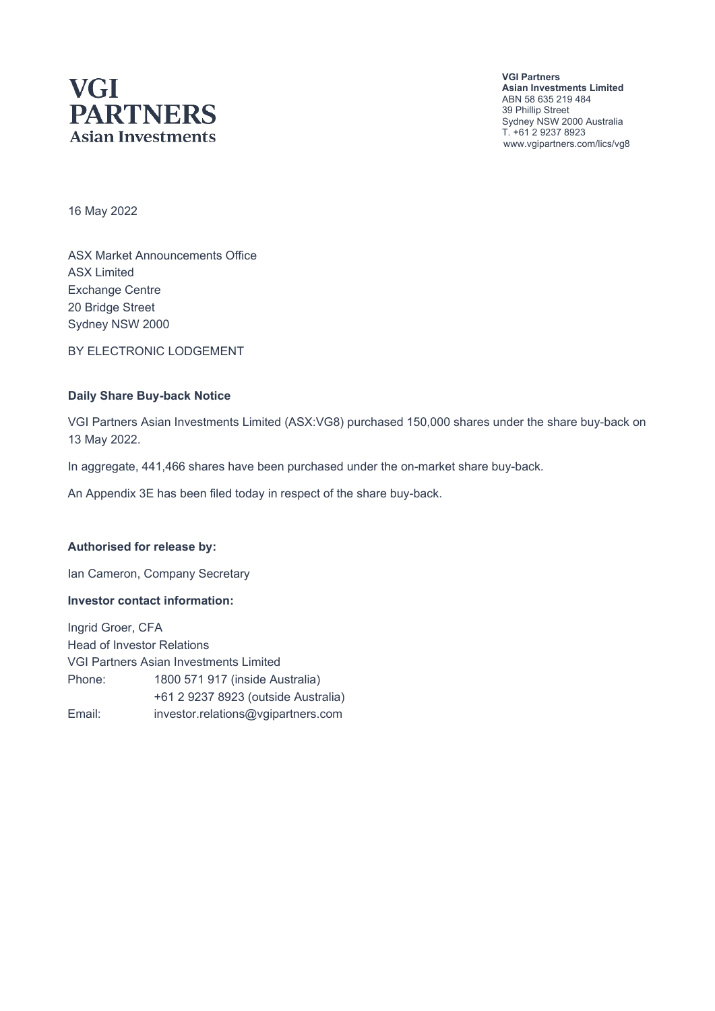# **VGI PARTNERS Asian Investments**

**VGI Partners Asian Investments Limited** ABN 58 635 219 484 39 Phillip Street Sydney NSW 2000 Australia T. +61 2 9237 8923 www.vgipartners.com/lics/vg8

16 May 2022

ASX Market Announcements Office ASX Limited Exchange Centre 20 Bridge Street Sydney NSW 2000

BY ELECTRONIC LODGEMENT

#### **Daily Share Buy-back Notice**

VGI Partners Asian Investments Limited (ASX:VG8) purchased 150,000 shares under the share buy-back on 13 May 2022.

In aggregate, 441,466 shares have been purchased under the on-market share buy-back.

An Appendix 3E has been filed today in respect of the share buy-back.

#### **Authorised for release by:**

Ian Cameron, Company Secretary

#### **Investor contact information:**

Ingrid Groer, CFA Head of Investor Relations VGI Partners Asian Investments Limited Phone: 1800 571 917 (inside Australia) +61 2 9237 8923 (outside Australia) Email: investor.relations@vgipartners.com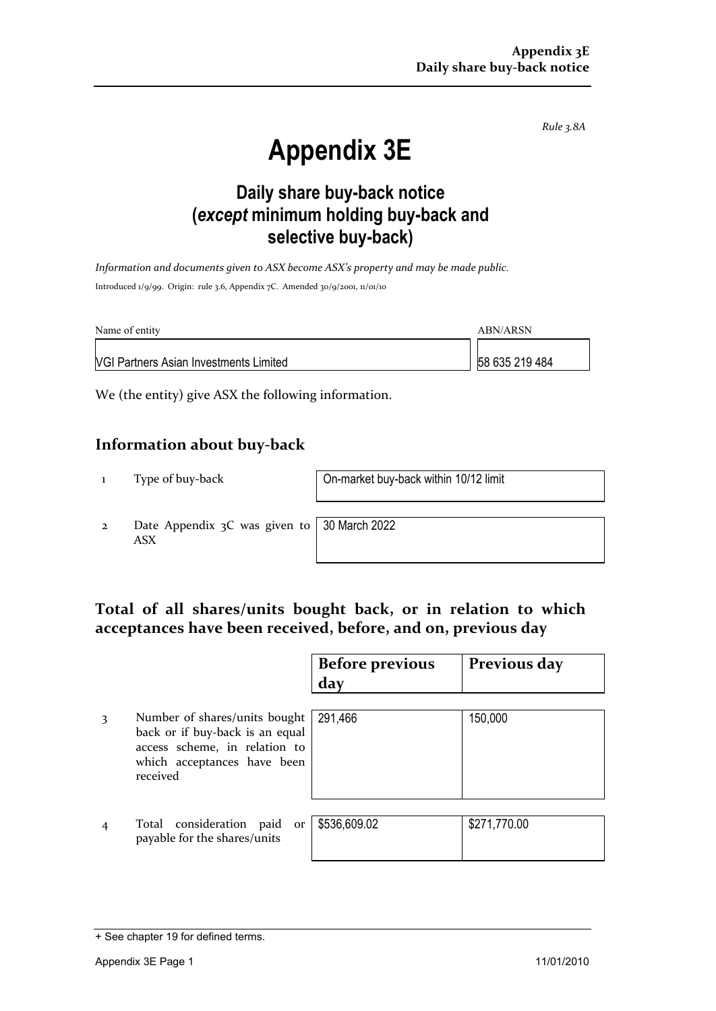*Rule 3.8A*

# **Appendix 3E**

# **Daily share buy-back notice (***except* **minimum holding buy-back and selective buy-back)**

*Information and documents given to ASX become ASX's property and may be made public.* Introduced 1/9/99. Origin: rule 3.6, Appendix 7C. Amended 30/9/2001, 11/01/10

| Name of entity                                | ABN/ARSN       |  |
|-----------------------------------------------|----------------|--|
| <b>VGI Partners Asian Investments Limited</b> | 58 635 219 484 |  |

We (the entity) give ASX the following information.

## **Information about buy-back**

1 Type of buy-back On-market buy-back within 10/12 limit

2 Date Appendix 3C was given to ASX

30 March 2022

## **Total of all shares/units bought back, or in relation to which acceptances have been received, before, and on, previous day**

|                                                                                                                                              | <b>Before previous</b><br>day | Previous day |
|----------------------------------------------------------------------------------------------------------------------------------------------|-------------------------------|--------------|
| Number of shares/units bought<br>back or if buy-back is an equal<br>access scheme, in relation to<br>which acceptances have been<br>received | 291,466                       | 150,000      |
| Total consideration paid<br>or<br>payable for the shares/units                                                                               | \$536,609.02                  | \$271,770.00 |

<sup>+</sup> See chapter 19 for defined terms.